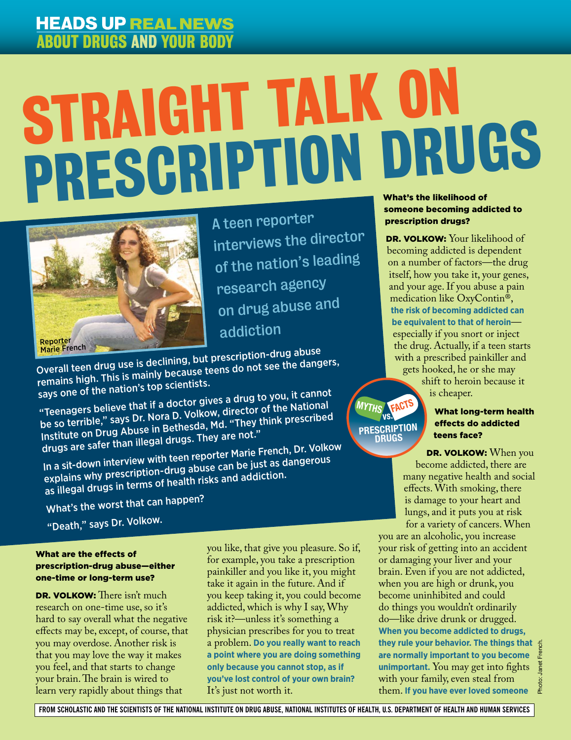## **HEADS UP REAL NEWS** ABOUT DRUGS AND YOUR BODY

# l  $\overline{\phantom{a}}$ **PRESCRIPTION DRUGS** Straight Talk on



A teen reporter interviews the director of the nation's leading research agency on drug abuse an<sup>d</sup> addiction

Marie French New Marie French New York (2008)<br>Overall teen drug use is declining, but prescription-drug abuse remains high. This is mainly because teens do not see the dangers, says one of the nation's top scientists.

"Teenagers believe that if a doctor gives a drug to you, it canno<sup>t</sup> be so terrible," says Dr. Nora D. Volkow, director of the Nationa<sup>l</sup> Institute on Drug Abuse in Bethesda, Md. "They think prescribed drugs are safer than illegal drugs. They are not."

In a sit-down interview with teen reporter Marie French, Dr. Volkow explains why prescription-drug abuse can be just as dangerous as illegal drugs in terms of health risks and addiction.

What's the worst that can happen?

"Death," says Dr. Volkow.

#### What are the effects of prescription-drug abuse—either one-time or long-term use?

DR. VOLKOW: There isn't much research on one-time use, so it's hard to say overall what the negative effects may be, except, of course, that you may overdose. Another risk is that you may love the way it makes you feel, and that starts to change your brain. The brain is wired to learn very rapidly about things that

you like, that give you pleasure. So if, for example, you take a prescription painkiller and you like it, you might take it again in the future. And if you keep taking it, you could become addicted, which is why I say, Why risk it?—unless it's something a physician prescribes for you to treat a problem. **Do you really want to reach a point where you are doing something only because you cannot stop, as if you've lost control of your own brain?** It's just not worth it.

### someone becoming addicted to prescription drugs?

DR. VOLKOW: Your likelihood of becoming addicted is dependent on a number of factors—the drug itself, how you take it, your genes, and your age. If you abuse a pain medication like OxyContin®, **the risk of becoming addicted can be equivalent to that of heroin** especially if you snort or inject the drug. Actually, if a teen starts with a prescribed painkiller and gets hooked, he or she may shift to heroin because it

is cheaper.

**PRESCRIPTION DRUGS**

**MYTHS vs. FACTS**

#### What long-term health effects do addicted teens face?

DR. VOLKOW: When you become addicted, there are many negative health and social effects. With smoking, there is damage to your heart and lungs, and it puts you at risk for a variety of cancers. When

you are an alcoholic, you increase your risk of getting into an accident or damaging your liver and your brain. Even if you are not addicted, when you are high or drunk, you become uninhibited and could do things you wouldn't ordinarily do—like drive drunk or drugged. **When you become addicted to drugs, they rule your behavior. The things that are normally important to you become unimportant.** You may get into fights with your family, even steal from them. **If you have ever loved someone**